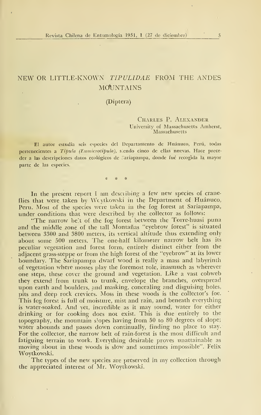# NEW OR LITTLE-KNOWN TIPULIDAE FROM THE ANDES **MOUNTAINS**

## (Díptera)

#### Charles P. Alexander University of Massachusetts Amherst, **Massachusetts**

El autor estudia seis especies del Departamento de Huánuco, Perú, todas pertenecientes a Tipula (Eumicrotipula), siendo cinco de ellas nuevas. Hace preceder a las descripciones datos ecológicos de .' ariapampa, donde fué recogida la mayor parte de las especies.

In the present report I am describing a few new species of craneflies that were taken by Wcytkowski in the Department of Huánuco, Peru. Most of the species were taken in the fog forest at Sariapampa, under conditions that were described by the collector as follows:

"The narrow be't of the fog forest between the Torre-huasi puna and the middle zone of the tall Montañas "eyebrow forest" is situated between 3300 and 3800 meters, its vertical altitude thus extending only about some 500 meters. The one-half kilometer narrow belt has its peculiar vegetation and forest form, entirely distinct either from the adjacent grass-steppe or from the high forest of the "eyebrow" at its lower boundary. The Sariapampa dwarf wood is really a mass and labyrinth of vegetation where mosses play the foremost role, inasmuch as wherever one steps, these cover the ground and vegetation. Like <sup>a</sup> vast cobweb they extend from trunk to trunk, envelope the branches, overspread upon earth and boulders, and masking, concealing and disguising holes, pits and deep rock crevices. Moss in these woods is the collector's foe. This fog forest is full of moisture, mist and rain, and beneath everything is water-soaked. And yet, incredible as it may sound, water for either drinking or for cooking does not exist. This is due entirely to the topography, the mountain slopes having from 50 to 80 degrees of slope; water abounds and passes down continually, finding no place to stay. For the collector, the narrow belt of rain-forest is the most difficult and fatiguing terrain to work. Everything desirable proves unattainable as moving about in these woods is slow and sometimes impossible". Felix Woytkowski.

The types of the new species are preserved in my collection through the appreciated interest of Mr. Woytkowski.

5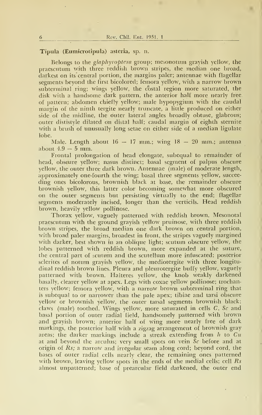#### Típula (Eumicrotípula) asteria, sp. n.

Belongs to the glaphyroptera group; mesonotum grayish yellow, the praescutum with three reddish brown stiipes, the median one broad, darkest on its central portion, the margins paler; antennae with flagellar segments beyond the first bicolored; femora yellow, with a narrow brown subterminal ring; wings yellow, the costal region more saturated, the disk with a handsome dark pattern, the anterior half more nearly free. of pattern; abdomen chiefiy yellow; male hypopygium with the caudal margin of the ninth tergite nearly truncate, a little produced on either side of the midline, the outer lateral angles broadly obtuse, glabrous; outer dististyle dilated on distal half; caudal margin of eighth sternite with a brush of unusually long setae on either side of a median ligulate lobe.

Male. Length about  $16 - 17$  mm.; wing  $18 - 20$  mm.; antenna about  $4.9 - 5$  mm.

Frontal prolongation of head elongate, subequal to remainder of head, obscure yellow; nasus distinct; basal segment of palpus obscure yellow, the outer three dark brown. Antennae (male) of modérate length, approximately one-fourth the wing; basal three segments yellow, succee ding ones bicolorous, brownish black at base, the remainder obscure brownish yellow, this latter color becoming somewhat more obscured on the outer segments but persisting virtually to the end; flagellar segments moderately incised, longer than the verticils. Head reddish brown, heavily yellow pollinose.

Thorax yellow, vaguely patterned with reddish brown. Mesonotal praescutum with the ground grayish yellow pruinose, with three reddish brown stripes, the broad median one dark brown on central portion, with broad paler margins, broadest in front, the stripes vaguely margined with darker, best shown in an oblique light; scutum obscure yellow, the lobes patterned with reddish brown, more expanded at the suture, the central part of scutum and the scutellum more infuscated; posterior sclerites of notum grayish yellow, the mediotergite with three longitudinal reddish brown lines. Pleura and pleurotergite buffy yellow, vaguely patterned with brown. Halteres yellow, the knob weakly darkened basally, clearer yellow at apex. Legs with coxae yellow pollinose; trochanters yellow; femora yellow, Avith a narrow brown subterminal ring that is subequal to or narrower than the palé apex; tibiae and tarsi obscure yellow or brownish yellow, the outer tarsal segments brownish black; claws (male) toothed. Wings yellow, more saturated in cells C, Se and basal portion of outer radial field, handsomely patterned with brown and grayish brown; anterior half of wing more nearly free of dark markings, the posterior half with a zigzag arrangement of brownish gray areas; the darker markings include a streak extending from  $h$  to  $Cu$ at and beyond the arculus; very small spots on vein  $Sc$  before and at origin of  $Rs$ ; a narrow and irregular seam along cord; beyond cord, the bases of outer radial cells nearly clear, the remaining ones patterned with brown, leaving yellow spots in the ends of the medial cells; cell  $Rs$ almost unpatterned; base of prearcular field darkened, the outer end

6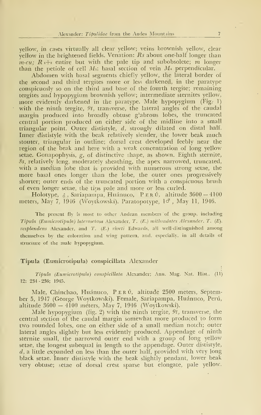yellow, in cases virtually all clear yellow; veins brownish yellow, clear yellow in the brightened fields. Venation:  $Rs$  about one-half longer than  $m\text{-}cu$ ;  $R_1+$  entire but with the pale tip and subobsolete; m longer than the petiole of cell  $M_1$ ; basal section of vein  $M_4$  perpendicular.

Abdomen with basal segments chiefíy yellow, the lateral border of the second and third tergites more or less darkened, in the paratype conspicuosly so on the third and base of the fourth tergite; remaining tergites and hypopygium brownish yellow; intermedíate sternites yellow, more evidently darkened in the paratype. Male hypopygium (Fig.- 1) with the ninth tergite,  $9t$ , transverse, the lateral angles of the caudal margin produced into broadly obtuse glabrous lobes, the truncated central portion produced on either side of the midline into a small triangular point. Outer dististyle,  $d$ , strongly dilated on distal half. Inner dististyle with the beak relatively slender, the lower beak much stouter, triangular in outline; dorsal crest developed feebly near the región of the beak and here with a weak concentration of long yellow setae. Gonapophysis, g, of distinctive shape, as shown. Eighth sternite, 8s, relatively long, moderately sheathing, the apex narrowed, truncated, with a median lobe that is provided with numerous strong setae, the more basal ones longer than the lobe, the outer ones progressively shorter; outer ends of the truncated portion with a conspicuous brush of even longer setae, the tips palé and more or less curled.

Holotype,  $\delta$ , Sariapampa, Huánuco, PERÚ, altitude  $3600 - 4100$ meters, May 7, 1946 (Woytkowski). Paratopotype,  $1\sigma$ , May 11, 1946.

The present fly is most to other Andean members of the group, including Típula (Eumicrotipula) laterosetosa Alexander, T. (E.) mithradates Alexander, T. (E). resplandens Alexander, and T. (E.) riveti Edwards, all well-distinguished among themselves by the coloration and wing pattern, and, especially, in all details of structure of the male hypopygium.

#### Típula (Eumicrotipula) conspicillata Alexander

Típula (Eumicrotipula) conspicillata Alexander; Ann. Mag. Nat. Hist.. (11) 12: 234-236; 1945.

Male, Chinchao, Huánuco, PERÚ, altitude 2500 meters, September 5, 1947 (George Woytkowski). Female, Sariapampa, Huánuco, Perú, altitude  $3600 - 4100$  meters, May 7, 1946 (Woytkowski).

Male hypopygium (fig. 2) with the ninth tergite,  $9t$ , transverse, the central section of the caudal margin somewhat more produced to form two rounded lobes, one on either side of a small median notch; outer lateral angles slightly but less evidently produced. Appendage of ninth sternite small, the narrowed outer end with a group of long yellow setae, the longest subequal in length to the appendage. Outer dististyle,  $d$ , a little expanded on less than the outer half, provided with very long black setae. Inner dististyle with the beak slightly pendant, lower beak very obtuse; setae of dorsal crest sparse but elongate, palé yellow.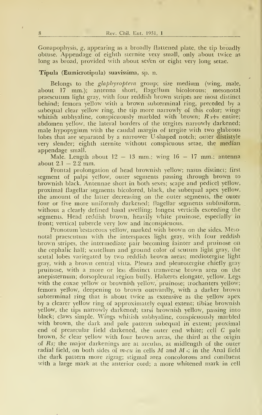Gonapophysis, g, appearing as a broadly flattened plate, the tip broadly obtuse. Appendage of eighth sternite very small, only about twice as long as broad, provided with about seven or eight very long setae.

#### Típula (Eumicrotipula) suavissima, sp. n.

Belongs to the  $glaphyroptera$  group; size medium (wing, male, about  $17 \text{ mm}$ .); antenna short, flagellum bicolorous; mesonotal praescutum light gray, with four reddish brown stripes are most distinct behind; femora yellow with a brown subterminal ring, preceded by a subequal clear yellow ring, the tip more narrowly of this color; wings whitish subhyaline, conspicuously marbled with brown;  $R_{1+2}$  entire; abdomen yellow, the lateral borders of the tergites narrowly darkened; male hypopygium with the caudal margin of tergite with two glabrous lobes that are separated by a narrower U-shaped notch; outer dististyle very slender; eighth sternite without conspicuous setae, the median appendage small.

Male. Length about  $12 - 13$  mm.; wing  $16 - 17$  mm.; antenna about  $2.1 - 2.2$  mm.

Frontal prolongation o£ head brownish yellow; nasus distinct; first segment of palpi yellow, outer segments passing through brown to brownish black. Antennae short in both sexes; scape and pedicel yellow, proximal £lagellar segments bicolored, black, the subequal apex yellow, the amount of the latter decreasing on the outer segments, the outer four or five more uniformly darkened; flagellar segments subfusiform, without a clearly defined basal swelling; longest verticils exceeding the segments. Head reddish brown, heavily white pruinose, especially in front; vertical tubercle very low and inconspicuous.

Pronotum testaceous yellow, marked with brown on the sides. Mesonotal praescutum with the interspaces light gray, with £our reddish brown stripes, the intermedíate pair becoming fainter and pruinose on the cephalic half; scutellum and ground color of scutum light gray, the scutal lobes variegated by two reddish brown areas; mediotergite light gray, with a brown central vitta. Pleura and pleurotergite chiefly gray pruinose, with a more or less distinct transverse brown área on the anepisternum; dorsopleural region buffy. Halteres elongate, yellow. Legs with the coxae yellow or brownish yellow, pruinose; trochanters yellow; femora yellow, deepening to brown outwardly, with a darker brown subterminal ring that is about twice as extensive as the yellow apex by a clearer yellow ring o£ approximately equal extent; tibiae brownish yellow, the tips narrowly darkened; tarsi brownish yellow, passing into black; claws simple. Wings whitish subhyaline, conspicuously marbled with brown, the dark and pale pattern subequal in extent; proximal end of prearcular field darkened, the outer end white; cell C pale brown. Sc clear yellow with four brown areas, the third at the origin of Rs; the major darkenings are at arculus, at midlength of the outer radial field, on both sides of m-cu in cells M and M  $\cdot$ ; in the Anal field the dark pattern more zigzag; stigmal área concolorous and coníluent with a large mark at the anterior cord; <sup>a</sup> more whitened mark in cell

8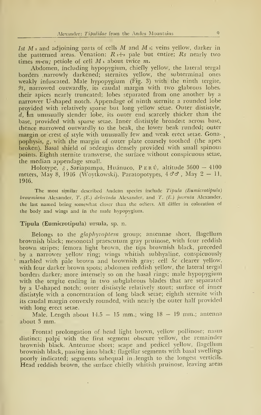Ist  $M$  2 and adjoining parts of cells  $M$  and  $M$  s; veins yellow, darker in the patterned areas. Venation:  $R_{1+2}$  pale but entire;  $R_s$  nearly two times m-cu; petiole of cell  $M_1$  about twice m.

Abdomen, including hypopygium, chiefly yellow, the lateral tergal borders narrowly darkened; sternites yellow, the subterminal ones weakly infuscated. Male hypopygium (Fig. 3) with the ninth tergite, 9t, narrowed outwardly, its caudal margin with two glabrous lobes, their apices nearly truncated; lobes separated from one another by a narrower U-shaped notch. Appendage of ninth sternite a rounded lobe provided with relatively sparse but long yellow sétae. Outer dististyle, d, an unusually slender lobe, its outer end scarcely thicker than the base, provided with sparse setae. Inner dististyle broadest across base, thence narrowed outwardly to the beak, the lower beak runded; outer margin or crest of style with unusually few and weak erect setae. Gona- $\mathbf{v}$ pophysis, g, with the margin of outer plate coarsely toothed (the apex broken). Basal shield of aedeagüs densely provided with small spinous points. Eighth sternite transverse, the surface without conspicuous setae, the median appendage small.

Holotype, &, Sariapampa, Huánuco, PERÚ, altitude 3600 - 4100 meters, May 8, 1946 (Woytkowski). Paratopotypes,  $4 \sigma \sigma$ , May  $2 - 11$ , 1946.

The most similar described Andean species include Tipula (Eumicrotipula) browmiana Alexander, T.  $(E.)$  delectada Alexander, and T.  $(E.)$  juventa Alexander, the last named being somewhat closer than the others. All differ in coloration of the body and wings and in the male hypopygium.

#### Típula (Eumicrotipula) ursula, sp. n.

Belongs to the glaphyroptera group; antennae short, flagellum brownish black; mesonotal praescutum gray pruinose, with four reddish brown stripes; femora light brown, the tips brownish black, preceded by a narrower yellow ring; wings whitish subhyaline, conspicuously marbled with pale brown and brownish gray; cell Sc clearer yellow, with four darker brown spots; abdomen reddish yellow, the lateral tergal borders darker, more intensely so on the basal rings; male hypopygium with the tergite ending in two subglabrous blades that are separated by a U-shaped notch; outer dististyle relatively stout; surface of inner dististyle with a concentration of long black setae; eighth sternite with its caudal margin convexly rounded, with nearly the outer half provided with long erect setae.

Male. Length about  $14.5 - 15$  mm.; wing  $18 - 19$  mm.; antenna about 3 mm..

Frontal prolongation of head light brovm, yellow pollinose; nasus distinct; palpi with the first segment obscure yellow, the remainder brownish black. Antennae short; scape and pedicel yellow, flagellum brownish black, passing into black; flagellar segments with basal swellings poorly indicated; segments subequal in length to the longest verticils. Head reddish brown, the surface chiefly whitish pruinose, leaving areas

 $\Omega$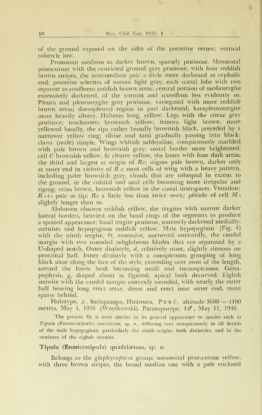of the ground exposed on the sides of the posterior vertex; vertical tubercle low.

Pronotum médium to darker brown, sparsely pruinose. Mesonotal praescutum with the restricted ground gray pruinose, with £our reddish brown stripes, the intermediate pair <sup>a</sup> little more darkened at cephalic end; posterior sclerites of notum light gray, each scutal lobe with two separate to confluent reddish brown areas; central portion of mediotergite extensively darkened, of the scutum and scutellum less evidently so. Pleura and pleurotergite gray pruinose, variegated with more reddish brown areas; dorsopleural region in part darkened; katapleurotergite more heavily silvery. Halteres long, yellow. Legs with the coxae gray pruinose; trochanters brownish yellow; femora light brown, more yellowed basally, the tips rather broadly brownish black, preceded by <sup>a</sup> narrower yellow ring; tibiae and tarsi gradually passing into black; claws (male) simple. Wings whitish subhyaline, conspicuously marbled with palé brown and brownish gray; costal border more brightened, cell  $C$  brownish yellow, Sc clearer yellow, the latter with four dark areas, the third and largest at origin of  $Rs$ ; stigma pale brown, darker only at outer end in vicinity of  $\overline{R}$  =; most cells of wing with a heavy pattern, including paler brownish gray, clouds that are subequal in extent to the ground, in the cubital and anal cells becoming more irregular and zigzag; veins brown, brownish yellow in the costal mterspaces. Venation:  $R_{1+2}$  pale at tip; Rs a little less than twice m-cu; petiole of cell M i slightly longer than  $m$ .

Abdomen obscure reddish yellow, the tergites with narrow darker lateral borders, heaviest on the basal rings of the segments to produce a spotted appearance; basal tergite pruinose, narrowly darkened medially; sternites and hypopygium reddish yellow. Male hypopygium (Fig. 4) with the ninth tergite,  $9t$ , extensive, narrowed outwardly, the caudal margin with two rounded subglabrous blades that are separated by a U-shaped notch. Outer dististyle, d, relatively stout, slightly sinuous on proxirñal half. Inner dististyle with a conspicuous grouping of long black setae along the face of the style, extending over most of the length, toward the lower beak becoming small and inconspicuous. Gonapophysis, g, shaped about as figured; apical beak decurved. Eighth sternite with the caudal margin convexly rounded, with nearly the outer half bearing long erect setae, dense and erect near outer end, more sparse behind.

Holotype,  $\delta$ , Sariapampa, Huánuco, PERÚ, altitude 3600 — 4100 meters, May 4, 1946 (Woytkowski). Paratopotype,  $1\sigma$ , May 11, 1946.

The present fly is most similar in its general appearance to species such as Tipula (Eumicrotipula) suavissima, sp. n., differing very conspicuously in all details of the male hypopygium, particularly the ninth tergite, both dististyles, and in the vestiture of the eighth sternite.

Típula (Eumicrotipula) quadrisetosa, sp. n.

Belongs to the glaphyroptera group; mesonotal praescutum yellow, with three brown stripes, the broad median one with a pale enclosed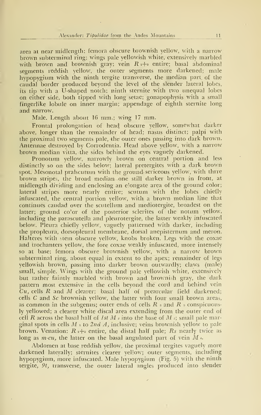área at near midlength; femora obscure brownish yellow, with a narrow brown subterminal ring; wings palé yellowish white, extensively marbled with brown and brownish gray; vein  $R_{1+2}$  entire; basal abdominal segments reddish yellow, the outer segments more darkened; male hypopygium with the ninth tergite transverse, the median part of the caudal border produced beyond the level of the slender lateral lobes, its tip with a U-shaped notch; ninth sternite with two unequal lobes on either side, both tipped with long setae; gonapophysis with a small fingerlike lobule on inner margin; appendage of eighth sternite long and narrow.

Male. Length about <sup>16</sup> mm.; wing <sup>17</sup> mm.

Frontal prolongation of head obscure yellow, somewhat darker above, longer than the remainder of head; nasus distinct; palpi with the proximal two segments palé, the outer ones passing into dark brown. Antennae destroyed by Corrodentia. Head above yellow, with <sup>a</sup> narrow brown median vitta, the sides behind the eyes vaguely darkened.

Pronotum yellow, narrowly brown on central portion and less distinctly so on the sides below; lateral pretergites with <sup>a</sup> dark brown spot. Mesonotal pralscutum with the ground sericeous yellow, with thrre brown stripes, the broad median one still darker brown in front, at midlength dividing and enclosing an elongate area of the ground color; lateral stripes more nearly entire; scutum with the lobes chiefly infuscated, the central portion yellow, with a brown median line that continues caudad over the scutellum and mediotergite, broadest on the latter; ground co'or of the posterior sclerites of the notum yellow, including the parascutella and pleurotergite, the latter weakly infuscated below. Pleura chiefly yellow, vaguely patterned with darker, including the propleura, dorsopleural membrane, dorsal anepisternum and meron. Halteres with stem obscure yellow, knobs broken. Legs with the coxae and trochanters yellow, the fore coxae weakly infuscated, more intensely so at base; femora obscure brownish yellow, with a narrow brown subterminal ring, about equal in extent to the apex; remainder of legs yellowish brown, passing into darker brown outwardly; claws (male) small, simple. Wings with the ground palé yellowish white, extensively but rather faintly marbled with brown and brownish gray, the dark pattern most extensive in the cells beyond the cord and behind vein  $\tilde{C}u$ , cells R and M clearer; basal half of prearcular field darkened; cells  $C$  and  $Sc$  brownish yellow, the latter with four small brown areas, as common in the subgenus; outer ends of cells  $R_3$  and  $R_5$  conspicuously yellowed; a clearer white discal área extending from the outer end of cell R across the basal half of *Ist M* into the base of *M* is small pale marginal spots in cells  $M_1$  to  $2ndA$ , inclusive; veins brownish yellow to pale brown. Venation:  $R_{1}+2$  entire, the distal half pale; Rs nearly twice as long as *m-cu*, the latter on the basal angulated part of vein  $M<sub>4</sub>$ .

Abdomen at base reddish yellow, the proximal tergites vaguely more darkened laterally; sternites clearer yellow; outer segments, including hypopygium, more infuscated. Male hypopygium (Fig. 5) with the ninth tergite,  $9t$ , transverse, the outer lateral angles produced into slender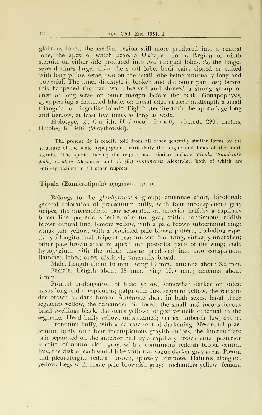glabrous lobes, the median región still more produced into a central lobe, the apex of which bears a U-shaped notch. Region of ninth sternite on either side produced into two unequal lobes,  $9s$ , the longer several times larger than the small lobe, both pairs tipped or tufted with long yellow setae, two on the small lobe being unusually long and powerful. The inner dististyle is broken and the outer part lost; before this happened the part was observed and showed a strong group or crest o£ long setae on outer margin before the beak. Gonapophysis, g, appearing a flattened blade, on mesal edge at near midlength a small triangular or fingerlike lobule. Eighth sternite with the appendage long and narrow, at least five times as long as wide.

Holotype, &, Carpish, Huánuco, PERÚ, altitude 2800 meters, October 8, 1946 (Woytkowski).

The present fly is readily told from all other generally similar forms by the structure of the male hypopygium, particularly the tergite and lobes of the ninth sternite. The species having the tergite most similar include Tipula (Eumicroti- $-\phi$ ula) osculata Alexander and T. (E.) runtunensis Alexander, both of which are entirely distinct in all other respects.

#### Típula (Eumicrotipula) zeugmata, sp. n.

Belongs to the glaphyroptera group; antennae short, bicolored; general coloration of praescutum buffy, with four inconspicuous gray stripes, the intermedíate pair separated on anterior half.by a capillary brown line; posterior sclerites of notum gray, with a continuous reddish brown central line; femora yellow, with a palé brown subterminal ring; wings palé yellow, with a restricted palé brown pattern, including especially a longitudinal stripe at near midwidth of wing, virtually unbroken; other palé brown áreas in apical and posterior parts of the wing; male hypopygium with the ninth tergite produced into two conspicuous flattened lobes; outer dististyle unusually broad.

Male. Length about <sup>16</sup> mm.; wing <sup>19</sup> mm.; antenna about 3.2 mm. Female. Length about 18 mm.; wing 19.5 mm.; antenna about <sup>3</sup> mm.

Frontal prolongation of head yellow, somewhát darker on sides; nasus long and conspicuous; palpi with first segment yellow, the remainder brown to dark brown. Antennaé short in both sexes; basal three segments yellow, the remainder bicolored, the small and inconspicuous basal swellings black, the stems yellow; longest verticils subequal to the segments. Head buffy yellow, unpatterned; vertical tubercle low, entire.

Pronotum buffy, with a narrow central darkening. Mesonotal prae scutum buffy with four inconspicuous grayish stripes, the intermediate pair separated on the anterior half by a capillary brown vitta; posterior sclerites of notum clear gray, with <sup>a</sup> continuous reddish brown central line, the disk of each scutal lobe with two vague darker gray areas. Pleura and pleurotergite reddish brown, sparsely pruinose. Halteres elongate, yellow. Legs with coxae palé brownish gray; trochanters yellow; femora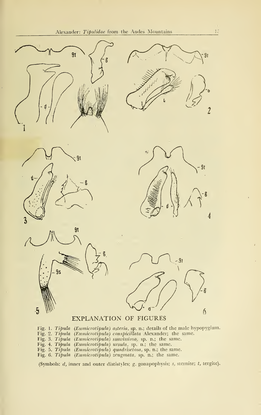











### EXPLANATION OF FIGURES

Fig. 1. Tipula (Eumicrotipula) asteria, sp. n.; details of the male hypopygium. Fig. 2. Tipula (Eumicrotipula) conspicillata Alexander; the same. Fig. 3. Típula (Eumicrotipula) suavissima, sp. n.; the same. Fig. 4. Típula (Eumicrotipula) ursula, sp. n.; the same. Fig. 5. Tipula (Eumicrotipula) quadrisetosa, sp. n.; the same. Fig. 6. Tipula (Eumicrotipula) zeugmata, sp. n.; the same.

(Symbols: d, inner and outer dististyles; g, gonapophysis; s, sternite; t, tergite).